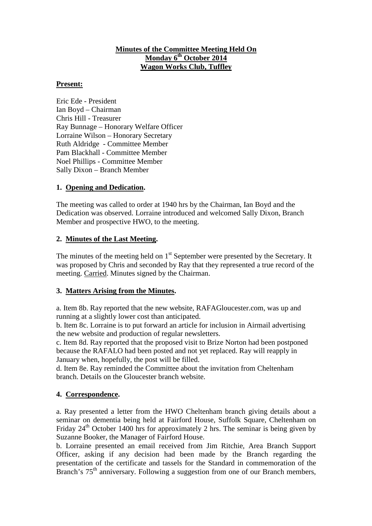### **Minutes of the Committee Meeting Held On Monday 6th October 2014 Wagon Works Club, Tuffley**

#### **Present:**

Eric Ede - President Ian Boyd – Chairman Chris Hill - Treasurer Ray Bunnage – Honorary Welfare Officer Lorraine Wilson – Honorary Secretary Ruth Aldridge - Committee Member Pam Blackhall - Committee Member Noel Phillips - Committee Member Sally Dixon – Branch Member

### **1. Opening and Dedication.**

The meeting was called to order at 1940 hrs by the Chairman, Ian Boyd and the Dedication was observed. Lorraine introduced and welcomed Sally Dixon, Branch Member and prospective HWO, to the meeting.

### **2. Minutes of the Last Meeting.**

The minutes of the meeting held on  $1<sup>st</sup>$  September were presented by the Secretary. It was proposed by Chris and seconded by Ray that they represented a true record of the meeting. Carried. Minutes signed by the Chairman.

#### **3. Matters Arising from the Minutes.**

a. Item 8b. Ray reported that the new website, RAFAGloucester.com, was up and running at a slightly lower cost than anticipated.

b. Item 8c. Lorraine is to put forward an article for inclusion in Airmail advertising the new website and production of regular newsletters.

c. Item 8d. Ray reported that the proposed visit to Brize Norton had been postponed because the RAFALO had been posted and not yet replaced. Ray will reapply in January when, hopefully, the post will be filled.

d. Item 8e. Ray reminded the Committee about the invitation from Cheltenham branch. Details on the Gloucester branch website.

#### **4. Correspondence.**

a. Ray presented a letter from the HWO Cheltenham branch giving details about a seminar on dementia being held at Fairford House, Suffolk Square, Cheltenham on Friday  $24<sup>th</sup>$  October 1400 hrs for approximately 2 hrs. The seminar is being given by Suzanne Booker, the Manager of Fairford House.

b. Lorraine presented an email received from Jim Ritchie, Area Branch Support Officer, asking if any decision had been made by the Branch regarding the presentation of the certificate and tassels for the Standard in commemoration of the Branch's  $75<sup>th</sup>$  anniversary. Following a suggestion from one of our Branch members,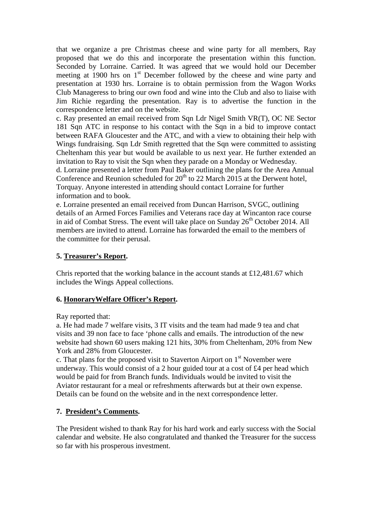that we organize a pre Christmas cheese and wine party for all members, Ray proposed that we do this and incorporate the presentation within this function. Seconded by Lorraine. Carried. It was agreed that we would hold our December meeting at 1900 hrs on  $1<sup>st</sup>$  December followed by the cheese and wine party and presentation at 1930 hrs. Lorraine is to obtain permission from the Wagon Works Club Manageress to bring our own food and wine into the Club and also to liaise with Jim Richie regarding the presentation. Ray is to advertise the function in the correspondence letter and on the website.

c. Ray presented an email received from Sqn Ldr Nigel Smith VR(T), OC NE Sector 181 Sqn ATC in response to his contact with the Sqn in a bid to improve contact between RAFA Gloucester and the ATC, and with a view to obtaining their help with Wings fundraising. Sqn Ldr Smith regretted that the Sqn were committed to assisting Cheltenham this year but would be available to us next year. He further extended an invitation to Ray to visit the Sqn when they parade on a Monday or Wednesday. d. Lorraine presented a letter from Paul Baker outlining the plans for the Area Annual

Conference and Reunion scheduled for  $20^{th}$  to 22 March 2015 at the Derwent hotel, Torquay. Anyone interested in attending should contact Lorraine for further information and to book.

e. Lorraine presented an email received from Duncan Harrison, SVGC, outlining details of an Armed Forces Families and Veterans race day at Wincanton race course in aid of Combat Stress. The event will take place on Sunday 26<sup>th</sup> October 2014. All members are invited to attend. Lorraine has forwarded the email to the members of the committee for their perusal.

### **5. Treasurer's Report.**

Chris reported that the working balance in the account stands at £12,481.67 which includes the Wings Appeal collections.

### **6. HonoraryWelfare Officer's Report.**

Ray reported that:

a. He had made 7 welfare visits, 3 IT visits and the team had made 9 tea and chat visits and 39 non face to face 'phone calls and emails. The introduction of the new website had shown 60 users making 121 hits, 30% from Cheltenham, 20% from New York and 28% from Gloucester.

c. That plans for the proposed visit to Staverton Airport on  $1<sup>st</sup>$  November were underway. This would consist of a 2 hour guided tour at a cost of £4 per head which would be paid for from Branch funds. Individuals would be invited to visit the Aviator restaurant for a meal or refreshments afterwards but at their own expense. Details can be found on the website and in the next correspondence letter.

### **7. President's Comments.**

The President wished to thank Ray for his hard work and early success with the Social calendar and website. He also congratulated and thanked the Treasurer for the success so far with his prosperous investment.